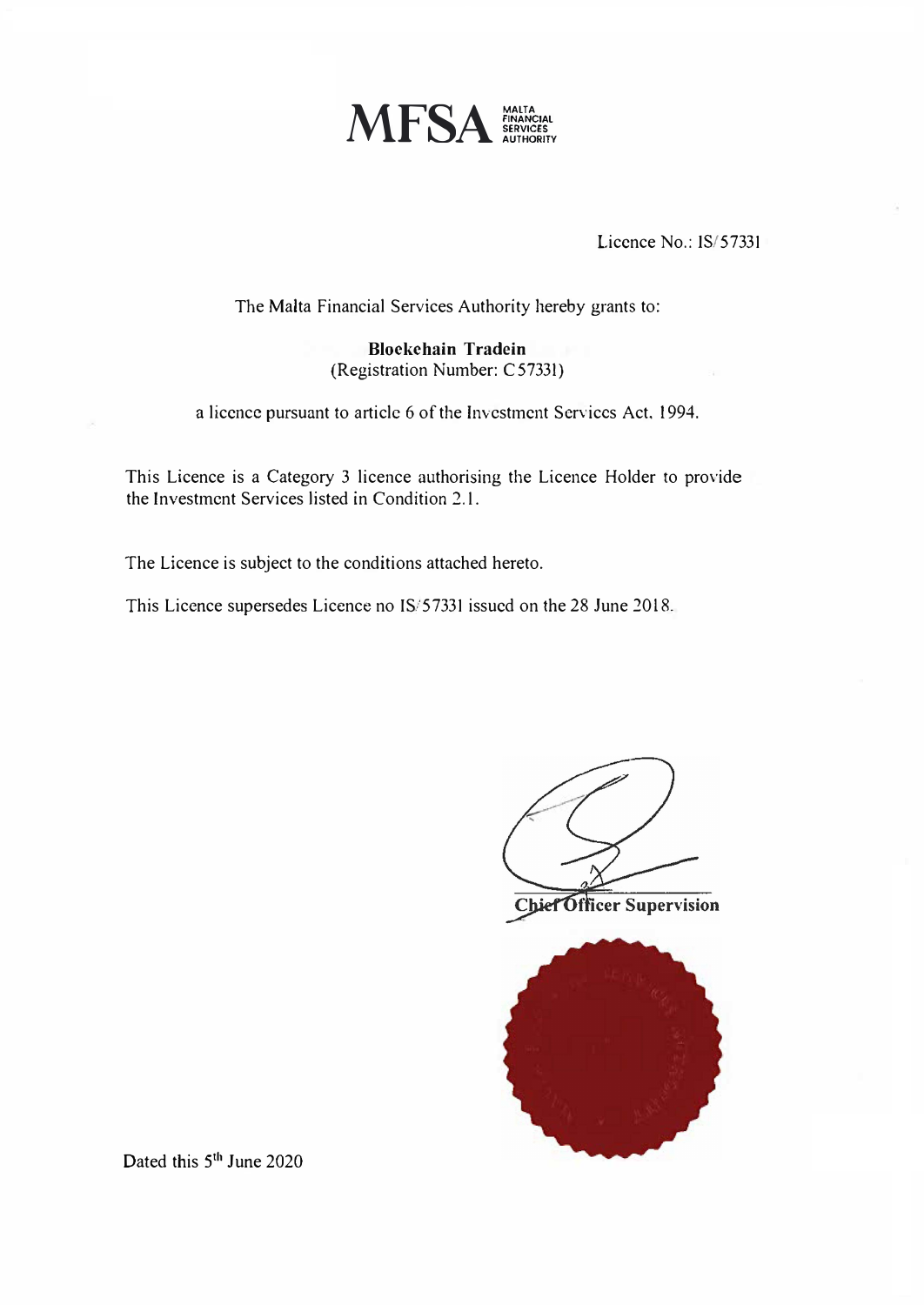

Licence No.: IS/57331

The Malta Financial Services Authority hereby grants to:

**Blockchain Tradein**  (Registration Number: C57331)

a licence pursuant to article 6 of the Investment Services Act. 1994.

This Licence is a Category 3 licence authorising the Licence Holder to provide the Investment Services listed in Condition 2.1.

The Licence is subject to the conditions attached hereto.

This Licence supersedes Licence no IS/57331 issued on the 28 June 2018.







Dated this 5<sup>th</sup> June 2020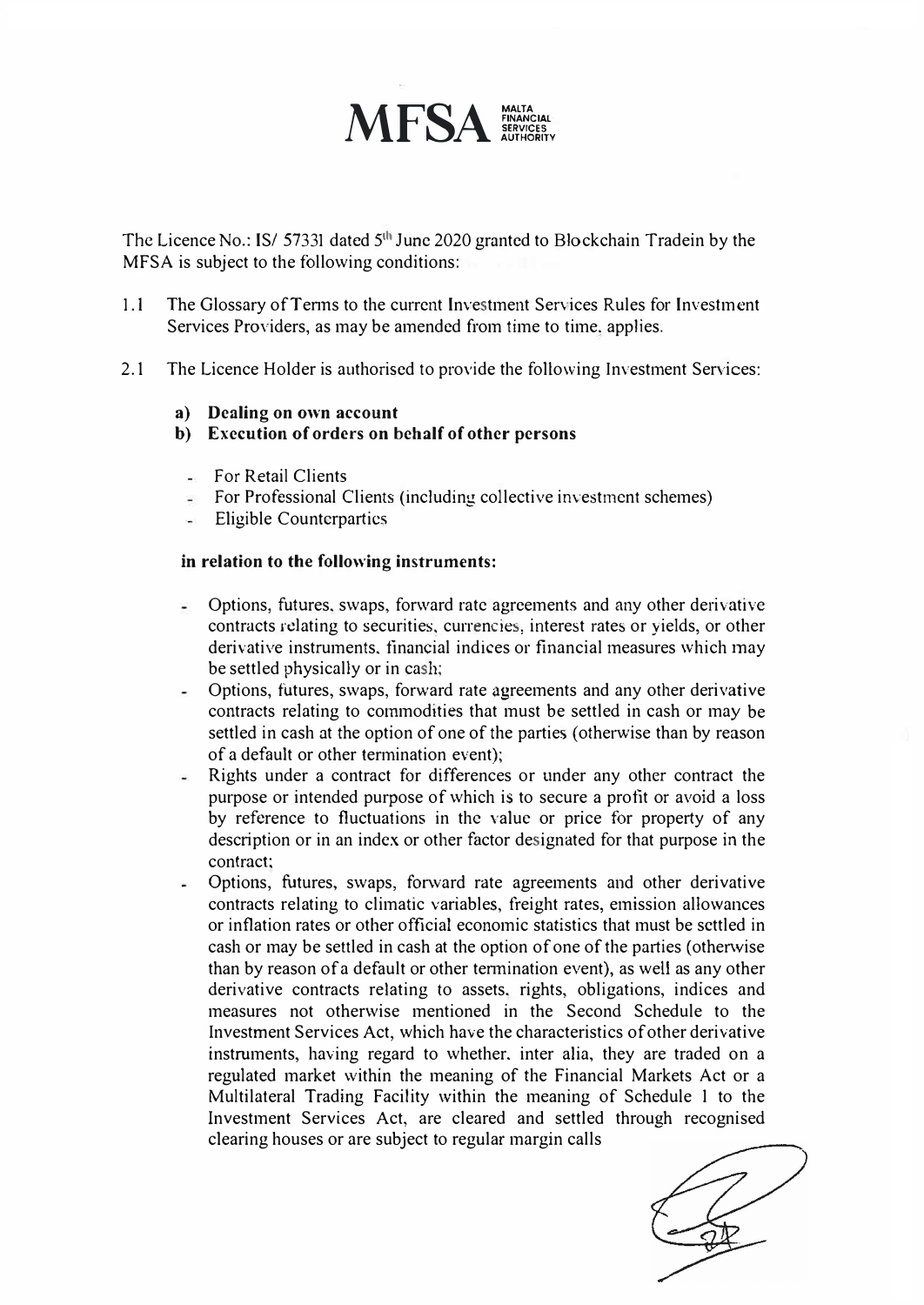

The Licence No.: IS/ 57331 dated 5<sup>th</sup> June 2020 granted to Blockchain Tradein by the MFSA is subject to the following conditions:

- 1. I The Glossary ofTenns to the current Investment Services Rules for Investment Services Providers, as may be amended from time to time. applies.
- 2.1 The Licence Holder is authorised to provide the following Investment Services:
	- **a) Dealing on own account**
	- **b) Execution of orders on behalf of other persons**
		- $F<sub>0</sub>$  For Retail Clients
		- $\equiv$  For Professional Clients (including collective investment schemes)
		- Eligible Countcrpartics

## **in relation to the following instruments:**

- Options, futures. swaps, forward rate agreements and any other derivative contracts rdating to securities, currencies, interest rates or yields, or other derivative instruments. financial indices or financial measures which may be settled physically or in cash;
- Options, futures, swaps, forward rate agreements and any other derivative  $\overline{a}$ contracts relating to commodities that must be settled in cash or may be settled in cash at the option of one of the parties (otherwise than by reason of a default or other termination event);
- Rights under a contract for differences or under any other contract the an i purpose or intended purpose of which is to secure a profit or avoid a loss by reference to fluctuations in the value or price for property of any description or in an index or other factor designated for that purpose in the contract:
- Options, futures, swaps, fonvard rate agreements and other derivative contracts relating to climatic variables, freight rates, emission allowances or inflation rates or other official economic statistics that must be settled in cash or may be settled in cash at the option of one of the parties (otherwise than by reason of a default or other tennination event), as well as any other derivative contracts relating to assets. rights, obligations, indices and measures not otherwise mentioned in the Second Schedule to the Investment Services Act, which have the characteristics of other derivative instruments, having regard to whether. inter alia, they are traded on a regulated market within the meaning of the Financial Markets Act or a Multilateral Trading Facility within the meaning of Schedule I to the Investment Services Act, are cleared and settled through recognised clearing houses or are subject to regular margin calls